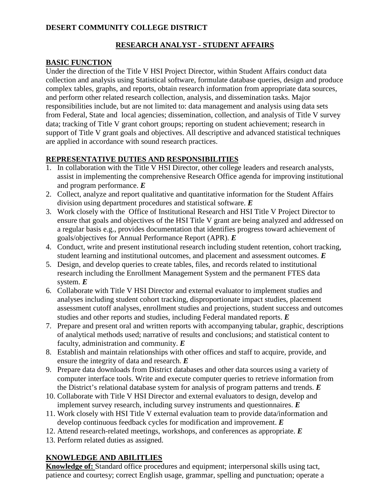# **DESERT COMMUNITY COLLEGE DISTRICT**

## **RESEARCH ANALYST - STUDENT AFFAIRS**

#### **BASIC FUNCTION**

Under the direction of the Title V HSI Project Director, within Student Affairs conduct data collection and analysis using Statistical software, formulate database queries, design and produce complex tables, graphs, and reports, obtain research information from appropriate data sources, and perform other related research collection, analysis, and dissemination tasks. Major responsibilities include, but are not limited to: data management and analysis using data sets from Federal, State and local agencies; dissemination, collection, and analysis of Title V survey data; tracking of Title V grant cohort groups; reporting on student achievement; research in support of Title V grant goals and objectives. All descriptive and advanced statistical techniques are applied in accordance with sound research practices.

### **REPRESENTATIVE DUTIES AND RESPONSIBILITIES**

- 1. In collaboration with the Title V HSI Director, other college leaders and research analysts, assist in implementing the comprehensive Research Office agenda for improving institutional and program performance. *E*
- 2. Collect, analyze and report qualitative and quantitative information for the Student Affairs division using department procedures and statistical software. *E*
- 3. Work closely with the Office of Institutional Research and HSI Title V Project Director to ensure that goals and objectives of the HSI Title V grant are being analyzed and addressed on a regular basis e.g., provides documentation that identifies progress toward achievement of goals/objectives for Annual Performance Report (APR). *E*
- 4. Conduct, write and present institutional research including student retention, cohort tracking, student learning and institutional outcomes, and placement and assessment outcomes. *E*
- 5. Design, and develop queries to create tables, files, and records related to institutional research including the Enrollment Management System and the permanent FTES data system. *E*
- 6. Collaborate with Title V HSI Director and external evaluator to implement studies and analyses including student cohort tracking, disproportionate impact studies, placement assessment cutoff analyses, enrollment studies and projections, student success and outcomes studies and other reports and studies, including Federal mandated reports. *E*
- 7. Prepare and present oral and written reports with accompanying tabular, graphic, descriptions of analytical methods used; narrative of results and conclusions; and statistical content to faculty, administration and community. *E*
- 8. Establish and maintain relationships with other offices and staff to acquire, provide, and ensure the integrity of data and research. *E*
- 9. Prepare data downloads from District databases and other data sources using a variety of computer interface tools. Write and execute computer queries to retrieve information from the District's relational database system for analysis of program patterns and trends. *E*
- 10. Collaborate with Title V HSI Director and external evaluators to design, develop and implement survey research, including survey instruments and questionnaires. *E*
- 11. Work closely with HSI Title V external evaluation team to provide data/information and develop continuous feedback cycles for modification and improvement. *E*
- 12. Attend research-related meetings, workshops, and conferences as appropriate. *E*
- 13. Perform related duties as assigned.

# **KNOWLEDGE AND ABILITLIES**

**Knowledge of:** Standard office procedures and equipment; interpersonal skills using tact, patience and courtesy; correct English usage, grammar, spelling and punctuation; operate a